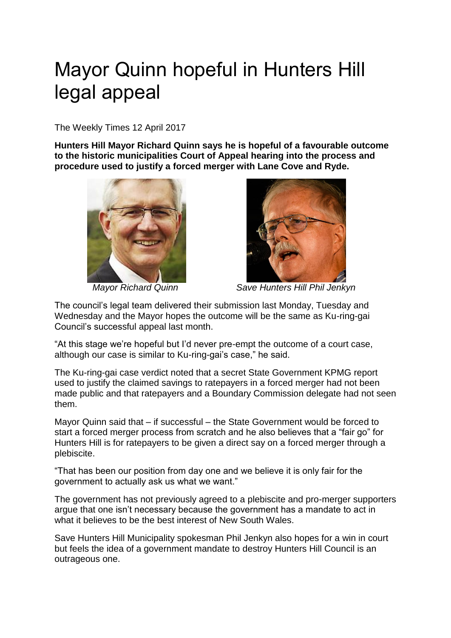## Mayor Quinn hopeful in Hunters Hill legal appeal

The Weekly Times 12 April 2017

**Hunters Hill Mayor Richard Quinn says he is hopeful of a favourable outcome to the historic municipalities Court of Appeal hearing into the process and procedure used to justify a forced merger with Lane Cove and Ryde.**





 *Mayor Richard Quinn Save Hunters Hill Phil Jenkyn*

The council's legal team delivered their submission last Monday, Tuesday and Wednesday and the Mayor hopes the outcome will be the same as Ku-ring-gai Council's successful appeal last month.

"At this stage we're hopeful but I'd never pre-empt the outcome of a court case, although our case is similar to Ku-ring-gai's case," he said.

The Ku-ring-gai case verdict noted that a secret State Government KPMG report used to justify the claimed savings to ratepayers in a forced merger had not been made public and that ratepayers and a Boundary Commission delegate had not seen them.

Mayor Quinn said that – if successful – the State Government would be forced to start a forced merger process from scratch and he also believes that a "fair go" for Hunters Hill is for ratepayers to be given a direct say on a forced merger through a plebiscite.

"That has been our position from day one and we believe it is only fair for the government to actually ask us what we want."

The government has not previously agreed to a plebiscite and pro-merger supporters argue that one isn't necessary because the government has a mandate to act in what it believes to be the best interest of New South Wales.

Save Hunters Hill Municipality spokesman Phil Jenkyn also hopes for a win in court but feels the idea of a government mandate to destroy Hunters Hill Council is an outrageous one.